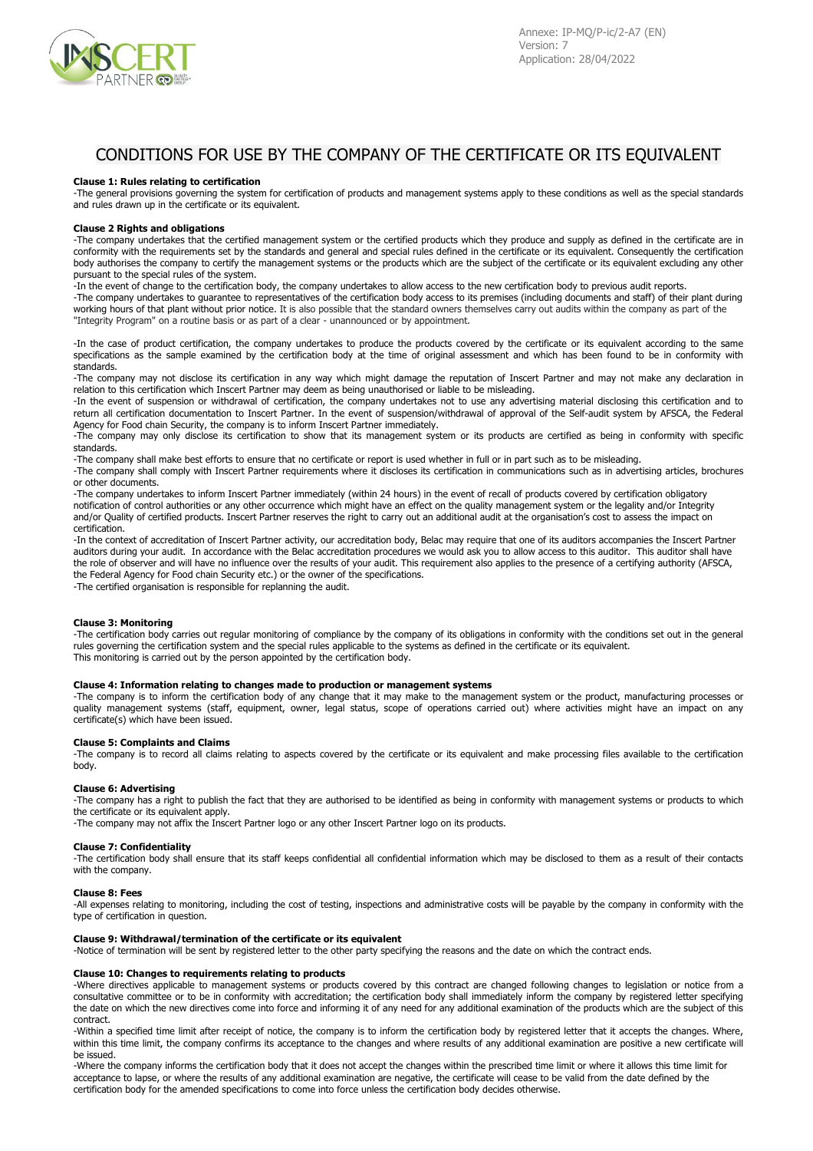

# CONDITIONS FOR USE BY THE COMPANY OF THE CERTIFICATE OR ITS EQUIVALENT

## **Clause 1: Rules relating to certification**

-The general provisions governing the system for certification of products and management systems apply to these conditions as well as the special standards and rules drawn up in the certificate or its equivalent.

### **Clause 2 Rights and obligations**

-The company undertakes that the certified management system or the certified products which they produce and supply as defined in the certificate are in conformity with the requirements set by the standards and general and special rules defined in the certificate or its equivalent. Consequently the certification body authorises the company to certify the management systems or the products which are the subject of the certificate or its equivalent excluding any other pursuant to the special rules of the system.

-In the event of change to the certification body, the company undertakes to allow access to the new certification body to previous audit reports. -The company undertakes to guarantee to representatives of the certification body access to its premises (including documents and staff) of their plant during working hours of that plant without prior notice. It is also possible that the standard owners themselves carry out audits within the company as part of the "Integrity Program" on a routine basis or as part of a clear - unannounced or by appointment.

-In the case of product certification, the company undertakes to produce the products covered by the certificate or its equivalent according to the same specifications as the sample examined by the certification body at the time of original assessment and which has been found to be in conformity with standards.

-The company may not disclose its certification in any way which might damage the reputation of Inscert Partner and may not make any declaration in relation to this certification which Inscert Partner may deem as being unauthorised or liable to be misleading.

-In the event of suspension or withdrawal of certification, the company undertakes not to use any advertising material disclosing this certification and to return all certification documentation to Inscert Partner. In the event of suspension/withdrawal of approval of the Self-audit system by AFSCA, the Federal Agency for Food chain Security, the company is to inform Inscert Partner immediately.

-The company may only disclose its certification to show that its management system or its products are certified as being in conformity with specific standards.

-The company shall make best efforts to ensure that no certificate or report is used whether in full or in part such as to be misleading.

-The company shall comply with Inscert Partner requirements where it discloses its certification in communications such as in advertising articles, brochures or other documents.

-The company undertakes to inform Inscert Partner immediately (within 24 hours) in the event of recall of products covered by certification obligatory notification of control authorities or any other occurrence which might have an effect on the quality management system or the legality and/or Integrity and/or Quality of certified products. Inscert Partner reserves the right to carry out an additional audit at the organisation's cost to assess the impact on certification.

-In the context of accreditation of Inscert Partner activity, our accreditation body, Belac may require that one of its auditors accompanies the Inscert Partner auditors during your audit. In accordance with the Belac accreditation procedures we would ask you to allow access to this auditor. This auditor shall have the role of observer and will have no influence over the results of your audit. This requirement also applies to the presence of a certifying authority (AFSCA, the Federal Agency for Food chain Security etc.) or the owner of the specifications.

-The certified organisation is responsible for replanning the audit.

## **Clause 3: Monitoring**

-The certification body carries out regular monitoring of compliance by the company of its obligations in conformity with the conditions set out in the general rules governing the certification system and the special rules applicable to the systems as defined in the certificate or its equivalent. This monitoring is carried out by the person appointed by the certification body.

## **Clause 4: Information relating to changes made to production or management systems**

-The company is to inform the certification body of any change that it may make to the management system or the product, manufacturing processes or quality management systems (staff, equipment, owner, legal status, scope of operations carried out) where activities might have an impact on any certificate(s) which have been issued.

#### **Clause 5: Complaints and Claims**

-The company is to record all claims relating to aspects covered by the certificate or its equivalent and make processing files available to the certification body.

## **Clause 6: Advertising**

-The company has a right to publish the fact that they are authorised to be identified as being in conformity with management systems or products to which the certificate or its equivalent apply.

-The company may not affix the Inscert Partner logo or any other Inscert Partner logo on its products.

## **Clause 7: Confidentiality**

-The certification body shall ensure that its staff keeps confidential all confidential information which may be disclosed to them as a result of their contacts with the company.

#### **Clause 8: Fees**

-All expenses relating to monitoring, including the cost of testing, inspections and administrative costs will be payable by the company in conformity with the type of certification in question.

## **Clause 9: Withdrawal/termination of the certificate or its equivalent**

-Notice of termination will be sent by registered letter to the other party specifying the reasons and the date on which the contract ends.

#### **Clause 10: Changes to requirements relating to products**

-Where directives applicable to management systems or products covered by this contract are changed following changes to legislation or notice from a consultative committee or to be in conformity with accreditation; the certification body shall immediately inform the company by registered letter specifying the date on which the new directives come into force and informing it of any need for any additional examination of the products which are the subject of this contract.

-Within a specified time limit after receipt of notice, the company is to inform the certification body by registered letter that it accepts the changes. Where, within this time limit, the company confirms its acceptance to the changes and where results of any additional examination are positive a new certificate will be issued.

-Where the company informs the certification body that it does not accept the changes within the prescribed time limit or where it allows this time limit for acceptance to lapse, or where the results of any additional examination are negative, the certificate will cease to be valid from the date defined by the certification body for the amended specifications to come into force unless the certification body decides otherwise.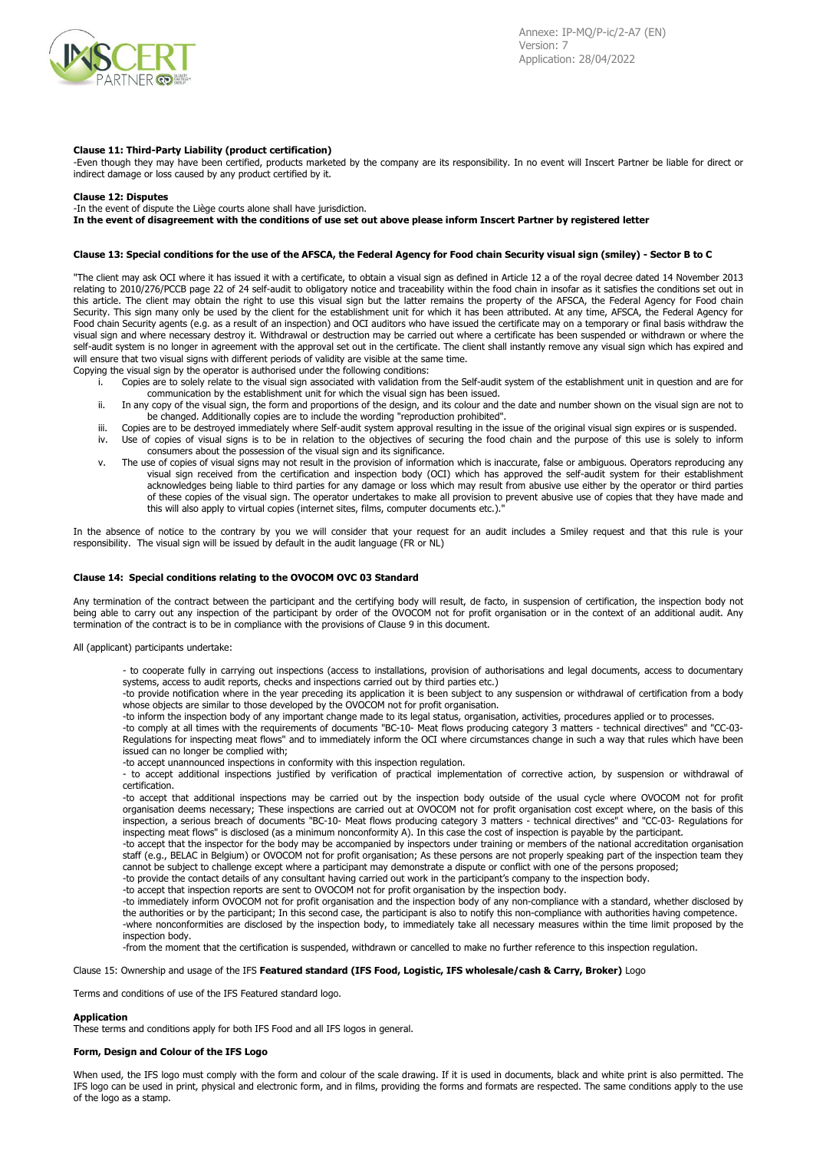

## **Clause 11: Third-Party Liability (product certification)**

-Even though they may have been certified, products marketed by the company are its responsibility. In no event will Inscert Partner be liable for direct or indirect damage or loss caused by any product certified by it.

#### **Clause 12: Disputes**

-In the event of dispute the Liège courts alone shall have jurisdiction.

In the event of disagreement with the conditions of use set out above please inform Inscert Partner by registered letter

## Clause 13: Special conditions for the use of the AFSCA, the Federal Agency for Food chain Security visual sign (smiley) - Sector B to C

"The client may ask OCI where it has issued it with a certificate, to obtain a visual sign as defined in Article 12 a of the royal decree dated 14 November 2013 relating to 2010/276/PCCB page 22 of 24 self-audit to obligatory notice and traceability within the food chain in insofar as it satisfies the conditions set out in this article. The client may obtain the right to use this visual sign but the latter remains the property of the AFSCA, the Federal Agency for Food chain Security. This sign many only be used by the client for the establishment unit for which it has been attributed. At any time, AFSCA, the Federal Agency for Food chain Security agents (e.g. as a result of an inspection) and OCI auditors who have issued the certificate may on a temporary or final basis withdraw the visual sign and where necessary destroy it. Withdrawal or destruction may be carried out where a certificate has been suspended or withdrawn or where the self-audit system is no longer in agreement with the approval set out in the certificate. The client shall instantly remove any visual sign which has expired and will ensure that two visual signs with different periods of validity are visible at the same time.

Copying the visual sign by the operator is authorised under the following conditions:

- i. Copies are to solely relate to the visual sign associated with validation from the Self-audit system of the establishment unit in question and are for communication by the establishment unit for which the visual sign has been issued.
- ii. In any copy of the visual sign, the form and proportions of the design, and its colour and the date and number shown on the visual sign are not to be changed. Additionally copies are to include the wording "reproduction prohibited".
- iii. Copies are to be destroyed immediately where Self-audit system approval resulting in the issue of the original visual sign expires or is suspended.<br>IV. I lse of copies of visual signs is to be in relation to the objec Use of copies of visual signs is to be in relation to the objectives of securing the food chain and the purpose of this use is solely to inform consumers about the possession of the visual sign and its significance.
- v. The use of copies of visual signs may not result in the provision of information which is inaccurate, false or ambiguous. Operators reproducing any visual sign received from the certification and inspection body (OCI) which has approved the self-audit system for their establishment acknowledges being liable to third parties for any damage or loss which may result from abusive use either by the operator or third parties of these copies of the visual sign. The operator undertakes to make all provision to prevent abusive use of copies that they have made and this will also apply to virtual copies (internet sites, films, computer documents etc.).

In the absence of notice to the contrary by you we will consider that your request for an audit includes a Smiley request and that this rule is your responsibility. The visual sign will be issued by default in the audit language (FR or NL)

## **Clause 14: Special conditions relating to the OVOCOM OVC 03 Standard**

Any termination of the contract between the participant and the certifying body will result, de facto, in suspension of certification, the inspection body not being able to carry out any inspection of the participant by order of the OVOCOM not for profit organisation or in the context of an additional audit. Any termination of the contract is to be in compliance with the provisions of Clause 9 in this document.

All (applicant) participants undertake:

- to cooperate fully in carrying out inspections (access to installations, provision of authorisations and legal documents, access to documentary systems, access to audit reports, checks and inspections carried out by third parties etc.)

-to provide notification where in the year preceding its application it is been subject to any suspension or withdrawal of certification from a body whose objects are similar to those developed by the OVOCOM not for profit organisation.

-to inform the inspection body of any important change made to its legal status, organisation, activities, procedures applied or to processes.

-to comply at all times with the requirements of documents "BC-10- Meat flows producing category 3 matters - technical directives" and "CC-03- Regulations for inspecting meat flows" and to immediately inform the OCI where circumstances change in such a way that rules which have been issued can no longer be complied with;

-to accept unannounced inspections in conformity with this inspection regulation.

- to accept additional inspections justified by verification of practical implementation of corrective action, by suspension or withdrawal of certification.

-to accept that additional inspections may be carried out by the inspection body outside of the usual cycle where OVOCOM not for profit organisation deems necessary; These inspections are carried out at OVOCOM not for profit organisation cost except where, on the basis of this inspection, a serious breach of documents "BC-10- Meat flows producing category 3 matters - technical directives" and "CC-03- Regulations for inspecting meat flows" is disclosed (as a minimum nonconformity A). In this case the cost of inspection is payable by the participant.

-to accept that the inspector for the body may be accompanied by inspectors under training or members of the national accreditation organisation staff (e.g., BELAC in Belgium) or OVOCOM not for profit organisation; As these persons are not properly speaking part of the inspection team they cannot be subject to challenge except where a participant may demonstrate a dispute or conflict with one of the persons proposed; -to provide the contact details of any consultant having carried out work in the participant's company to the inspection body.

-to accept that inspection reports are sent to OVOCOM not for profit organisation by the inspection body.

-to immediately inform OVOCOM not for profit organisation and the inspection body of any non-compliance with a standard, whether disclosed by the authorities or by the participant; In this second case, the participant is also to notify this non-compliance with authorities having competence. -where nonconformities are disclosed by the inspection body, to immediately take all necessary measures within the time limit proposed by the inspection body.

-from the moment that the certification is suspended, withdrawn or cancelled to make no further reference to this inspection regulation.

#### Clause 15: Ownership and usage of the IFS **Featured standard (IFS Food, Logistic, IFS wholesale/cash & Carry, Broker)** Logo

Terms and conditions of use of the IFS Featured standard logo.

#### **Application**

These terms and conditions apply for both IFS Food and all IFS logos in general.

# **Form, Design and Colour of the IFS Logo**

When used, the IFS logo must comply with the form and colour of the scale drawing. If it is used in documents, black and white print is also permitted. The IFS logo can be used in print, physical and electronic form, and in films, providing the forms and formats are respected. The same conditions apply to the use of the logo as a stamp.